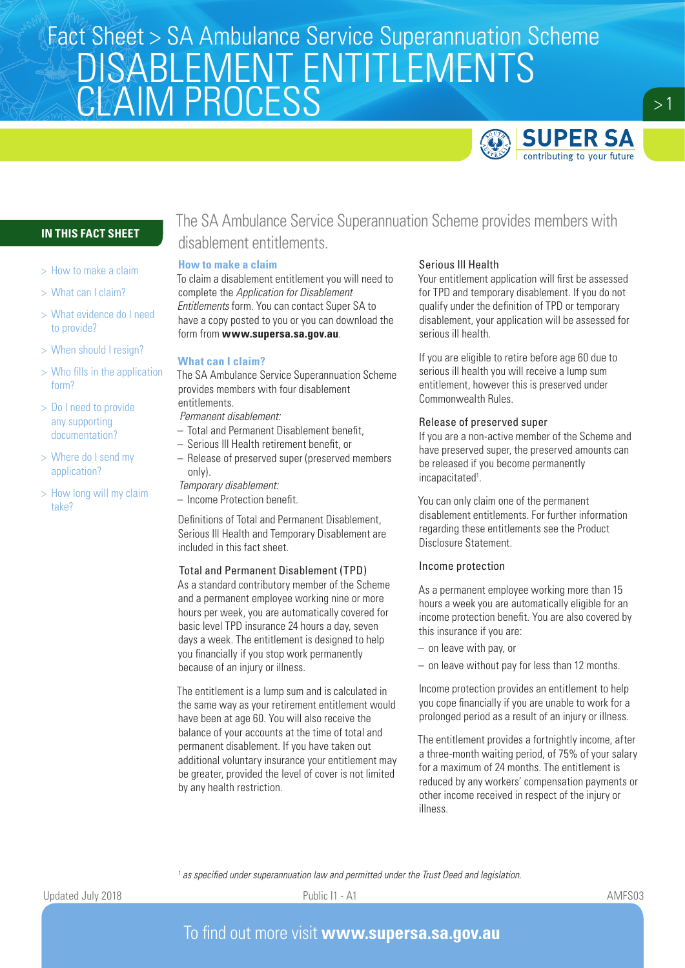# Fact Sheet > SA Ambulance Service Superannuation Scheme DISABLEMENT ENTITLEMENTS **CLAIM PROCESS**



 $>1$ 

## **IN THIS FACT SHEET**

- > How to make a claim
- > What can I claim?
- > What evidence do I need to provide?
- > When should I resign?
- > Who fills in the application form?
- > Do I need to provide any supporting documentation?
- > Where do I send my application?
- > How long will my claim take?

# The SA Ambulance Service Superannuation Scheme provides members with disablement entitlements.

#### **How to make a claim**

To claim a disablement entitlement you will need to complete the *Application for Disablement Entitlements* form. You can contact Super SA to have a copy posted to you or you can download the form from **www.supersa.sa.gov.au**.

#### **What can I claim?**

The SA Ambulance Service Superannuation Scheme provides members with four disablement entitlements.

*Permanent disablement:*

- Total and Permanent Disablement benefit,
- Serious Ill Health retirement benefit, or
- Release of preserved super (preserved members only).
- *Temporary disablement:*
- Income Protection benefit.

Definitions of Total and Permanent Disablement, Serious Ill Health and Temporary Disablement are included in this fact sheet.

#### Total and Permanent Disablement (TPD)

As a standard contributory member of the Scheme and a permanent employee working nine or more hours per week, you are automatically covered for basic level TPD insurance 24 hours a day, seven days a week. The entitlement is designed to help you financially if you stop work permanently because of an injury or illness.

The entitlement is a lump sum and is calculated in the same way as your retirement entitlement would have been at age 60. You will also receive the balance of your accounts at the time of total and permanent disablement. If you have taken out additional voluntary insurance your entitlement may be greater, provided the level of cover is not limited by any health restriction.

#### Serious Ill Health

Your entitlement application will first be assessed for TPD and temporary disablement. If you do not qualify under the definition of TPD or temporary disablement, your application will be assessed for serious ill health.

If you are eligible to retire before age 60 due to serious ill health you will receive a lump sum entitlement, however this is preserved under Commonwealth Rules.

#### Release of preserved super

If you are a non-active member of the Scheme and have preserved super, the preserved amounts can be released if you become permanently incapacitated<sup>1</sup>.

You can only claim one of the permanent disablement entitlements. For further information regarding these entitlements see the Product Disclosure Statement.

#### Income protection

As a permanent employee working more than 15 hours a week you are automatically eligible for an income protection benefit. You are also covered by this insurance if you are:

- on leave with pay, or
- on leave without pay for less than 12 months.

Income protection provides an entitlement to help you cope financially if you are unable to work for a prolonged period as a result of an injury or illness.

The entitlement provides a fortnightly income, after a three-month waiting period, of 75% of your salary for a maximum of 24 months. The entitlement is reduced by any workers' compensation payments or other income received in respect of the injury or illness.

<sup>1</sup> as specified under superannuation law and permitted under the Trust Deed and legislation.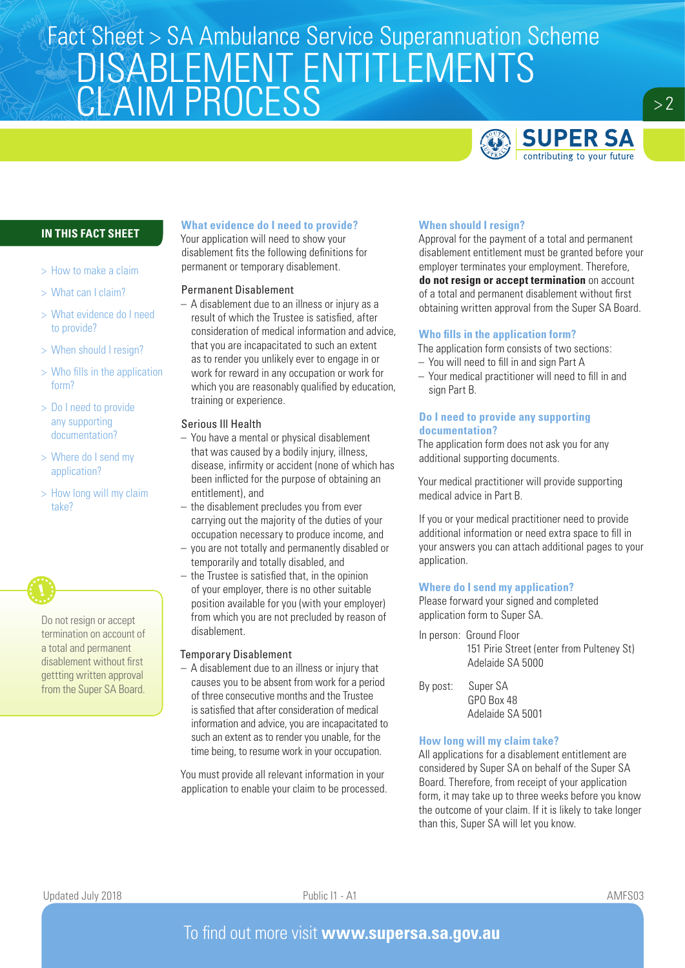# Fact Sheet > SA Ambulance Service Superannuation Scheme DISABLEMENT ENTITLEMENTS **CLAIM PROCESS**



 $> 2$ 

### **IN THIS FACT SHEET**

- > How to make a claim
- > What can I claim?
- > What evidence do I need to provide?
- > When should I resign?
- > Who fills in the application form?
- > Do I need to provide any supporting documentation?
- > Where do I send my application?
- > How long will my claim take?



### **What evidence do I need to provide?**

Your application will need to show your disablement fits the following definitions for permanent or temporary disablement.

#### Permanent Disablement

– A disablement due to an illness or injury as a result of which the Trustee is satisfied, after consideration of medical information and advice, that you are incapacitated to such an extent as to render you unlikely ever to engage in or work for reward in any occupation or work for which you are reasonably qualified by education, training or experience.

#### Serious Ill Health

- You have a mental or physical disablement that was caused by a bodily injury, illness, disease, infirmity or accident (none of which has been inflicted for the purpose of obtaining an entitlement), and
- the disablement precludes you from ever carrying out the majority of the duties of your occupation necessary to produce income, and
- you are not totally and permanently disabled or temporarily and totally disabled, and
- the Trustee is satisfied that, in the opinion of your employer, there is no other suitable position available for you (with your employer) from which you are not precluded by reason of disablement.

#### Temporary Disablement

– A disablement due to an illness or injury that causes you to be absent from work for a period of three consecutive months and the Trustee is satisfied that after consideration of medical information and advice, you are incapacitated to such an extent as to render you unable, for the time being, to resume work in your occupation.

You must provide all relevant information in your application to enable your claim to be processed.

#### **When should I resign?**

Approval for the payment of a total and permanent disablement entitlement must be granted before your employer terminates your employment. Therefore, **do not resign or accept termination** on account of a total and permanent disablement without first obtaining written approval from the Super SA Board.

#### **Who fills in the application form?**

The application form consists of two sections:

- You will need to fill in and sign Part A
- Your medical practitioner will need to fill in and sign Part B.

#### **Do I need to provide any supporting documentation?**

The application form does not ask you for any additional supporting documents.

Your medical practitioner will provide supporting medical advice in Part B.

If you or your medical practitioner need to provide additional information or need extra space to fill in your answers you can attach additional pages to your application.

#### **Where do I send my application?**

Please forward your signed and completed application form to Super SA.

In person: Ground Floor 151 Pirie Street (enter from Pulteney St) Adelaide SA 5000

By post: Super SA GPO Box 48 Adelaide SA 5001

#### **How long will my claim take?**

All applications for a disablement entitlement are considered by Super SA on behalf of the Super SA Board. Therefore, from receipt of your application form, it may take up to three weeks before you know the outcome of your claim. If it is likely to take longer than this, Super SA will let you know.

Updated July 2018 **Public I1 - A1** Public I1 - A1 **AMFS03**